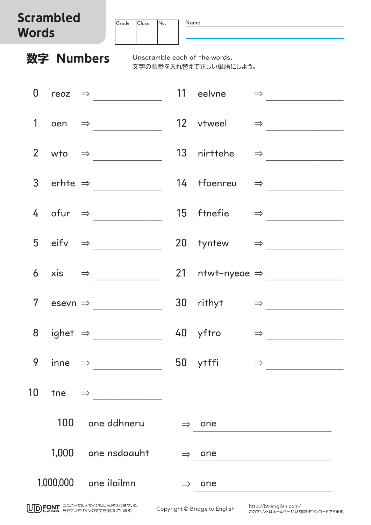## **Scrambled Wo**

| crampled<br>Vords |                                                                                                                                                                                                                                                                                                                                                                                             |  | Grade | Class | No. | Name            |                                                        |               |                                                            |
|-------------------|---------------------------------------------------------------------------------------------------------------------------------------------------------------------------------------------------------------------------------------------------------------------------------------------------------------------------------------------------------------------------------------------|--|-------|-------|-----|-----------------|--------------------------------------------------------|---------------|------------------------------------------------------------|
|                   | 数字 Numbers                                                                                                                                                                                                                                                                                                                                                                                  |  |       |       |     |                 | Unscramble each of the words.<br>文字の順番を入れ替えて正しい単語にしよう。 |               |                                                            |
| $\boldsymbol{0}$  | reoz $\Rightarrow$                                                                                                                                                                                                                                                                                                                                                                          |  |       |       |     |                 | 11 eelvne<br>$\Rightarrow$                             |               |                                                            |
| 1                 | $oen \Rightarrow$                                                                                                                                                                                                                                                                                                                                                                           |  |       |       |     |                 | 12 vtweel $\Rightarrow$                                |               |                                                            |
| $\overline{2}$    | wto $\Rightarrow$                                                                                                                                                                                                                                                                                                                                                                           |  |       |       |     |                 | 13 nirttehe                                            | $\Rightarrow$ |                                                            |
|                   | 3 erhte $\Rightarrow$                                                                                                                                                                                                                                                                                                                                                                       |  |       |       |     |                 | 14 tfoenreu $\Rightarrow$                              |               |                                                            |
|                   | 4 ofur $\Rightarrow$                                                                                                                                                                                                                                                                                                                                                                        |  |       |       |     |                 | 15 ftnefie $\Rightarrow$                               |               |                                                            |
|                   | 5 eifv $\Rightarrow$                                                                                                                                                                                                                                                                                                                                                                        |  |       |       |     | 20 <sub>2</sub> | tyntew $\Rightarrow$                                   |               |                                                            |
| 6                 | $xis \Rightarrow$                                                                                                                                                                                                                                                                                                                                                                           |  |       |       |     |                 | 21 ntwt-nyeoe $\Rightarrow$                            |               |                                                            |
| 7 <sup>7</sup>    |                                                                                                                                                                                                                                                                                                                                                                                             |  |       |       |     |                 | 30 rithyt                                              |               | $\Rightarrow$                                              |
|                   |                                                                                                                                                                                                                                                                                                                                                                                             |  |       |       |     |                 | 8 ighet $\Rightarrow$ 40 yftro                         |               | $\Rightarrow \underline{\hspace{1.5cm}}$                   |
| 9                 |                                                                                                                                                                                                                                                                                                                                                                                             |  |       |       |     |                 |                                                        |               | inne $\Rightarrow$ 50 ytffi $\Rightarrow$                  |
| 10                | $\begin{picture}(150,10) \put(0,0){\dashbox{0.5}(10,0){ }} \put(15,0){\circle{10}} \put(15,0){\circle{10}} \put(15,0){\circle{10}} \put(15,0){\circle{10}} \put(15,0){\circle{10}} \put(15,0){\circle{10}} \put(15,0){\circle{10}} \put(15,0){\circle{10}} \put(15,0){\circle{10}} \put(15,0){\circle{10}} \put(15,0){\circle{10}} \put(15,0){\circle{10}} \put(15,0){\circle{10}} \put(15$ |  |       |       |     |                 |                                                        |               |                                                            |
|                   | 100 one ddhneru                                                                                                                                                                                                                                                                                                                                                                             |  |       |       |     |                 | $\Rightarrow$ one                                      |               | <u> 1980 - Johann Barbara, martxa alemaniar populari (</u> |
|                   | 1,000 one nsdoauht                                                                                                                                                                                                                                                                                                                                                                          |  |       |       |     |                 | $\Rightarrow$ one                                      |               | <u> 1980 - Johann Barn, fransk politik (d. 1980)</u>       |
|                   | 1,000,000 one iloilmn                                                                                                                                                                                                                                                                                                                                                                       |  |       |       |     |                 | $\Rightarrow$ one                                      |               |                                                            |